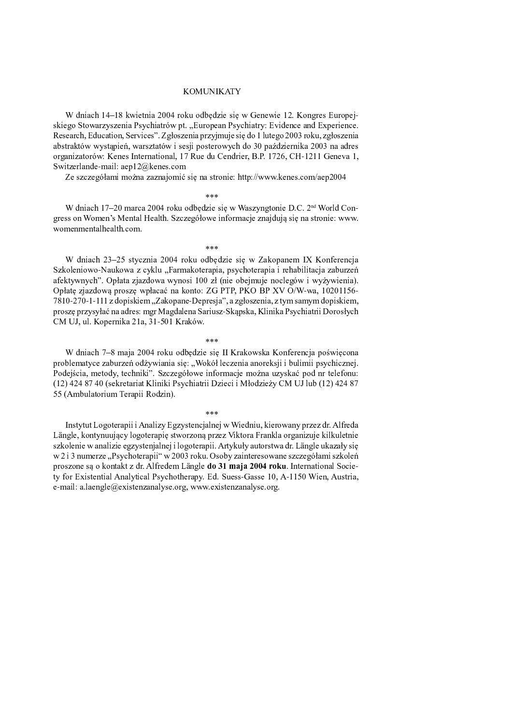## **KOMUNIKATY**

W dniach 14–18 kwietnia 2004 roku odbędzie się w Genewie 12. Kongres Europejskiego Stowarzyszenia Psychiatrów pt. "European Psychiatry: Evidence and Experience. Research, Education, Services". Zgłoszenia przyjmuje się do 1 lutego 2003 roku, zgłoszenia abstraktów wystąpień, warsztatów i sesji posterowych do 30 października 2003 na adres organizatorów: Kenes International, 17 Rue du Cendrier, B.P. 1726, CH-1211 Geneva 1, Switzerlande-mail: aep12@kenes.com

Ze szczegółami można zaznajomić się na stronie: http://www.kenes.com/aep2004

 $* * *$ 

W dniach 17–20 marca 2004 roku odbędzie się w Waszyngtonie D.C. 2<sup>nd</sup> World Congress on Women's Mental Health. Szczegółowe informacje znajdują się na stronie: www. womenmentalhealth.com.

ر<br>مهرمه مه

W dniach 23-25 stycznia 2004 roku odbędzie się w Zakopanem IX Konferencja Szkoleniowo-Naukowa z cyklu "Farmakoterapia, psychoterapia i rehabilitacja zaburzeń afektywnych". Opłata zjazdowa wynosi 100 zł (nie obejmuje noclegów i wyżywienia). Opłatę zjazdową proszę wpłacać na konto: ZG PTP, PKO BP XV O/W-wa, 10201156-7810-270-1-111 z dopiskiem "Zakopane-Depresja", a zgłoszenia, z tym samym dopiskiem, proszę przysyłać na adres: mgr Magdalena Sariusz-Skąpska, Klinika Psychiatrii Dorosłych CM UJ, ul. Kopernika 21a, 31-501 Kraków.

W dniach 7-8 maja 2004 roku odbędzie się II Krakowska Konferencja poświęcona problematyce zaburzeń odżywiania się: "Wokół leczenia anoreksji i bulimii psychicznej. Podejścia, metody, techniki". Szczegółowe informacje można uzyskać pod nr telefonu: (12) 424 87 40 (sekretariat Kliniki Psychiatrii Dzieci i Młodzieży CM UJ lub (12) 424 87 55 (Ambulatorium Terapii Rodzin).

ر<br>مهرمه مه

Instytut Logoterapii i Analizy Egzystencjalnej w Wiedniu, kierowany przez dr. Alfreda Längle, kontynuujący logoterapię stworzoną przez Viktora Frankla organizuje kilkuletnie szkolenie w analizie egzystenjalnej i logoterapii. Artykuły autorstwa dr. Längle ukazały się w 2 i 3 numerze "Psychoterapii" w 2003 roku. Osoby zainteresowane szczegółami szkoleń proszone są o kontakt z dr. Alfredem Längle do 31 maja 2004 roku. International Society for Existential Analytical Psychotherapy. Ed. Suess-Gasse 10, A-1150 Wien, Austria, e-mail: a.laengle@existenzanalyse.org, www.existenzanalyse.org.